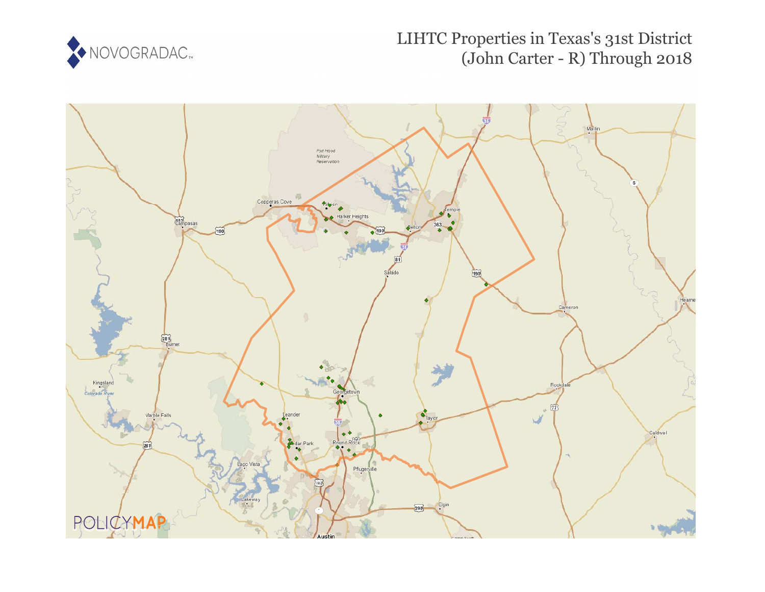

# LIHTC Properties in Texas's 31st District (John Carter - R) Through 2018

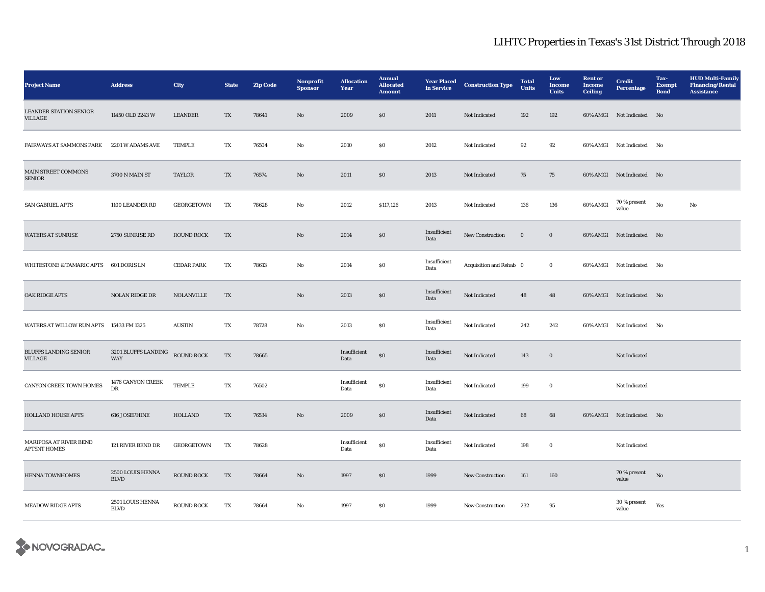| <b>Project Name</b>                           | <b>Address</b>                  | <b>City</b>       | <b>State</b>             | <b>Zip Code</b> | Nonprofit<br><b>Sponsor</b> | <b>Allocation</b><br>Year | <b>Annual</b><br><b>Allocated</b><br><b>Amount</b> | <b>Year Placed</b><br>in Service | <b>Construction Type</b> | <b>Total</b><br><b>Units</b> | Low<br><b>Income</b><br><b>Units</b> | <b>Rent or</b><br>Income<br><b>Ceiling</b> | <b>Credit</b><br><b>Percentage</b> | Tax-<br><b>Exempt</b><br><b>Bond</b> | <b>HUD Multi-Family</b><br><b>Financing/Rental</b><br><b>Assistance</b> |
|-----------------------------------------------|---------------------------------|-------------------|--------------------------|-----------------|-----------------------------|---------------------------|----------------------------------------------------|----------------------------------|--------------------------|------------------------------|--------------------------------------|--------------------------------------------|------------------------------------|--------------------------------------|-------------------------------------------------------------------------|
| <b>LEANDER STATION SENIOR</b><br>VILLAGE      | 11450 OLD 2243 W                | <b>LEANDER</b>    | $\mathcal{T}\mathcal{X}$ | 78641           | $\rm No$                    | 2009                      | $\$0$                                              | 2011                             | Not Indicated            | 192                          | 192                                  |                                            | 60% AMGI Not Indicated No          |                                      |                                                                         |
| FAIRWAYS AT SAMMONS PARK                      | 2201 W ADAMS AVE                | <b>TEMPLE</b>     | TX                       | 76504           | $_{\rm No}$                 | 2010                      | S <sub>0</sub>                                     | 2012                             | Not Indicated            | 92                           | 92                                   |                                            | 60% AMGI Not Indicated             | No                                   |                                                                         |
| MAIN STREET COMMONS<br><b>SENIOR</b>          | 3700 N MAIN ST                  | <b>TAYLOR</b>     | TX                       | 76574           | $\mathbf{N}\mathbf{o}$      | 2011                      | S <sub>0</sub>                                     | 2013                             | Not Indicated            | 75                           | 75                                   |                                            | 60% AMGI Not Indicated No          |                                      |                                                                         |
| SAN GABRIEL APTS                              | 1100 LEANDER RD                 | GEORGETOWN        | TX                       | 78628           | $\mathbf {No}$              | 2012                      | \$117,126                                          | 2013                             | Not Indicated            | 136                          | 136                                  | 60% AMGI                                   | $70$ % present<br>value            | $\rm No$                             | No                                                                      |
| <b>WATERS AT SUNRISE</b>                      | 2750 SUNRISE RD                 | <b>ROUND ROCK</b> | TX                       |                 | $\mathbf{No}$               | 2014                      | \$0\$                                              | Insufficient<br>Data             | New Construction         | $\mathbf 0$                  | $\bf{0}$                             |                                            | 60% AMGI Not Indicated No          |                                      |                                                                         |
| WHITESTONE & TAMARIC APTS 601 DORIS LN        |                                 | <b>CEDAR PARK</b> | TX                       | 78613           | No                          | 2014                      | $\boldsymbol{\mathsf{S}}\boldsymbol{\mathsf{0}}$   | Insufficient<br>Data             | Acquisition and Rehab 0  |                              | $\bf{0}$                             |                                            | 60% AMGI Not Indicated             | No                                   |                                                                         |
| <b>OAK RIDGE APTS</b>                         | <b>NOLAN RIDGE DR</b>           | <b>NOLANVILLE</b> | TX                       |                 | No                          | 2013                      | \$0\$                                              | Insufficient<br>Data             | Not Indicated            | 48                           | 48                                   |                                            | 60% AMGI Not Indicated No          |                                      |                                                                         |
| WATERS AT WILLOW RUN APTS                     | 15433 FM 1325                   | <b>AUSTIN</b>     | TX                       | 78728           | No                          | 2013                      | $\boldsymbol{\mathsf{S}}\boldsymbol{\mathsf{0}}$   | Insufficient<br>Data             | Not Indicated            | 242                          | 242                                  |                                            | 60% AMGI Not Indicated             | No                                   |                                                                         |
| <b>BLUFFS LANDING SENIOR</b><br>VILLAGE       | 3201 BLUFFS LANDING<br>WAY      | ROUND ROCK        | TX                       | 78665           |                             | Insufficient<br>Data      | ${\bf S0}$                                         | Insufficient<br>Data             | Not Indicated            | 143                          | $\mathbf 0$                          |                                            | Not Indicated                      |                                      |                                                                         |
| CANYON CREEK TOWN HOMES                       | 1476 CANYON CREEK<br>DR         | <b>TEMPLE</b>     | TX                       | 76502           |                             | Insufficient<br>Data      | ${\bf S0}$                                         | Insufficient<br>Data             | Not Indicated            | 199                          | $\bf{0}$                             |                                            | Not Indicated                      |                                      |                                                                         |
| <b>HOLLAND HOUSE APTS</b>                     | 616 JOSEPHINE                   | <b>HOLLAND</b>    | TX                       | 76534           | No                          | 2009                      | $\$0$                                              | Insufficient<br>Data             | Not Indicated            | 68                           | 68                                   |                                            | 60% AMGI Not Indicated No          |                                      |                                                                         |
| MARIPOSA AT RIVER BEND<br><b>APTSNT HOMES</b> | 121 RIVER BEND DR               | GEORGETOWN        | TX                       | 78628           |                             | Insufficient<br>Data      | $\$0$                                              | Insufficient<br>Data             | Not Indicated            | 198                          | $\bf{0}$                             |                                            | Not Indicated                      |                                      |                                                                         |
| <b>HENNA TOWNHOMES</b>                        | 2500 LOUIS HENNA<br><b>BLVD</b> | <b>ROUND ROCK</b> | TX                       | 78664           | No                          | 1997                      | $\boldsymbol{\mathsf{S}}\boldsymbol{\mathsf{0}}$   | 1999                             | New Construction         | 161                          | 160                                  |                                            | 70 % present<br>value              | No                                   |                                                                         |
| <b>MEADOW RIDGE APTS</b>                      | 2501 LOUIS HENNA<br><b>BLVD</b> | <b>ROUND ROCK</b> | TX                       | 78664           | No                          | 1997                      | $\boldsymbol{\mathsf{S}}\boldsymbol{\mathsf{0}}$   | 1999                             | New Construction         | 232                          | 95                                   |                                            | 30 % present<br>value              | Yes                                  |                                                                         |

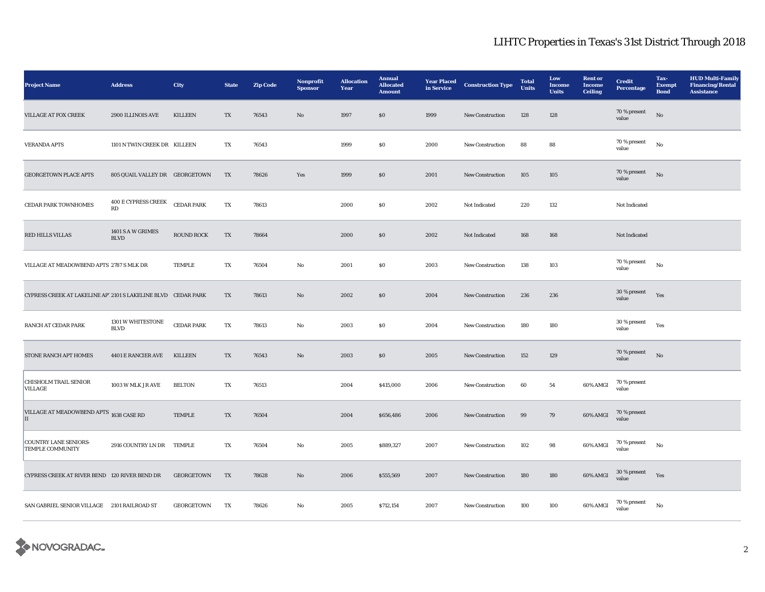| <b>Project Name</b>                                          | <b>Address</b>                   | City              | <b>State</b>            | <b>Zip Code</b> | Nonprofit<br><b>Sponsor</b> | <b>Allocation</b><br>Year | <b>Annual</b><br><b>Allocated</b><br><b>Amount</b> | <b>Year Placed</b><br>in Service | <b>Construction Type</b> | <b>Total</b><br>Units | Low<br><b>Income</b><br><b>Units</b> | <b>Rent or</b><br><b>Income</b><br><b>Ceiling</b> | <b>Credit</b><br><b>Percentage</b> | Tax-<br><b>Exempt</b><br><b>Bond</b> | <b>HUD Multi-Family</b><br><b>Financing/Rental</b><br><b>Assistance</b> |
|--------------------------------------------------------------|----------------------------------|-------------------|-------------------------|-----------------|-----------------------------|---------------------------|----------------------------------------------------|----------------------------------|--------------------------|-----------------------|--------------------------------------|---------------------------------------------------|------------------------------------|--------------------------------------|-------------------------------------------------------------------------|
| VILLAGE AT FOX CREEK                                         | 2900 ILLINOIS AVE                | <b>KILLEEN</b>    | TX                      | 76543           | $\mathbf{N}\mathbf{o}$      | 1997                      | $\boldsymbol{\mathsf{S}}\boldsymbol{\mathsf{O}}$   | 1999                             | New Construction         | 128                   | 128                                  |                                                   | 70 % present<br>value              | $_{\rm No}$                          |                                                                         |
| <b>VERANDA APTS</b>                                          | 1101 N TWIN CREEK DR KILLEEN     |                   | TX                      | 76543           |                             | 1999                      | $\$0$                                              | 2000                             | New Construction         | 88                    | 88                                   |                                                   | 70 % present<br>value              | $_{\rm No}$                          |                                                                         |
| <b>GEORGETOWN PLACE APTS</b>                                 | 805 QUAIL VALLEY DR GEORGETOWN   |                   | TX                      | 78626           | Yes                         | 1999                      | $\$0$                                              | 2001                             | <b>New Construction</b>  | 105                   | 105                                  |                                                   | 70 % present<br>value              | $_{\rm No}$                          |                                                                         |
| <b>CEDAR PARK TOWNHOMES</b>                                  | <b>400 E CYPRESS CREEK</b><br>RD | <b>CEDAR PARK</b> | $\mathbf{T} \mathbf{X}$ | 78613           |                             | 2000                      | ${\bf S0}$                                         | 2002                             | Not Indicated            | 220                   | 132                                  |                                                   | Not Indicated                      |                                      |                                                                         |
| <b>RED HILLS VILLAS</b>                                      | 1401 S A W GRIMES<br><b>BLVD</b> | <b>ROUND ROCK</b> | TX                      | 78664           |                             | 2000                      | \$0\$                                              | 2002                             | Not Indicated            | 168                   | 168                                  |                                                   | Not Indicated                      |                                      |                                                                         |
| VILLAGE AT MEADOWBEND APTS 2787 S MLK DR                     |                                  | <b>TEMPLE</b>     | TX                      | 76504           | No                          | 2001                      | ${\bf S0}$                                         | 2003                             | New Construction         | 138                   | 103                                  |                                                   | 70 % present<br>value              | No                                   |                                                                         |
| CYPRESS CREEK AT LAKELINE AP12101 S LAKELINE BLVD CEDAR PARK |                                  |                   | TX                      | 78613           | $\mathbf{N}\mathbf{o}$      | 2002                      | $\boldsymbol{\mathsf{S}}\boldsymbol{\mathsf{O}}$   | 2004                             | <b>New Construction</b>  | 236                   | 236                                  |                                                   | 30 % present<br>value              | Yes                                  |                                                                         |
| RANCH AT CEDAR PARK                                          | 1301 W WHITESTONE<br><b>BLVD</b> | <b>CEDAR PARK</b> | TX                      | 78613           | No                          | 2003                      | $\boldsymbol{\mathsf{S}}\boldsymbol{\mathsf{O}}$   | 2004                             | New Construction         | 180                   | 180                                  |                                                   | 30 % present<br>value              | Yes                                  |                                                                         |
| STONE RANCH APT HOMES                                        | 4401 E RANCIER AVE               | <b>KILLEEN</b>    | TX                      | 76543           | $\mathbf{No}$               | 2003                      | $\boldsymbol{\mathsf{S}}\boldsymbol{\mathsf{O}}$   | 2005                             | New Construction         | 152                   | 129                                  |                                                   | 70 % present<br>value              | $\rm No$                             |                                                                         |
| <b>CHISHOLM TRAIL SENIOR</b><br>VILLAGE                      | 1003 W MLK JR AVE                | <b>BELTON</b>     | TX                      | 76513           |                             | 2004                      | \$415,000                                          | 2006                             | <b>New Construction</b>  | 60                    | 54                                   | 60% AMGI                                          | 70 % present<br>value              |                                      |                                                                         |
| VILLAGE AT MEADOWBEND APTS 1638 CASE RD<br>П                 |                                  | <b>TEMPLE</b>     | TX                      | 76504           |                             | 2004                      | \$656,486                                          | 2006                             | New Construction         | $\bf{99}$             | 79                                   | $60\%$ AMGI                                       | 70 % present<br>value              |                                      |                                                                         |
| <b>COUNTRY LANE SENIORS-</b><br><b>TEMPLE COMMUNITY</b>      | 2916 COUNTRY LN DR TEMPLE        |                   | TX                      | 76504           | No                          | 2005                      | \$889,327                                          | 2007                             | New Construction         | 102                   | 98                                   | 60% AMGI                                          | 70 % present<br>value              | No                                   |                                                                         |
| CYPRESS CREEK AT RIVER BEND 120 RIVER BEND DR                |                                  | <b>GEORGETOWN</b> | TX                      | 78628           | $\mathbf{N}\mathbf{o}$      | 2006                      | \$555,569                                          | 2007                             | <b>New Construction</b>  | 180                   | 180                                  | $60\%$ AMGI                                       | $30\,\%$ present<br>value          | Yes                                  |                                                                         |
| SAN GABRIEL SENIOR VILLAGE 2101 RAILROAD ST                  |                                  | <b>GEORGETOWN</b> | TX                      | 78626           | No                          | 2005                      | \$712,154                                          | 2007                             | New Construction         | 100                   | 100                                  | 60% AMGI                                          | $70$ % present<br>value            | $_{\rm No}$                          |                                                                         |

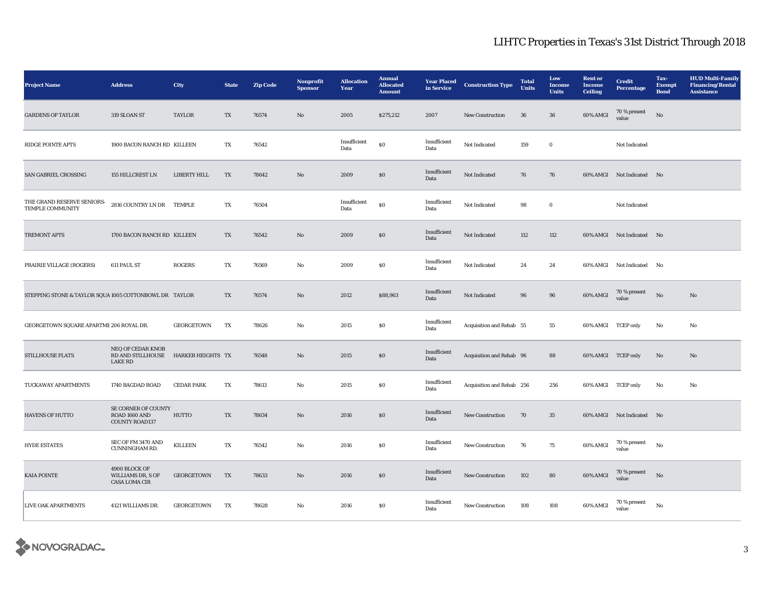| <b>Project Name</b>                                   | <b>Address</b>                                                | <b>City</b>       | <b>State</b>            | <b>Zip Code</b> | Nonprofit<br><b>Sponsor</b> | <b>Allocation</b><br>Year | <b>Annual</b><br><b>Allocated</b><br><b>Amount</b> | <b>Year Placed</b><br>in Service | <b>Construction Type</b>  | <b>Total</b><br><b>Units</b> | Low<br>Income<br><b>Units</b> | <b>Rent</b> or<br><b>Income</b><br><b>Ceiling</b> | <b>Credit</b><br><b>Percentage</b> | Tax-<br><b>Exempt</b><br><b>Bond</b> | <b>HUD Multi-Family</b><br><b>Financing/Rental</b><br><b>Assistance</b> |
|-------------------------------------------------------|---------------------------------------------------------------|-------------------|-------------------------|-----------------|-----------------------------|---------------------------|----------------------------------------------------|----------------------------------|---------------------------|------------------------------|-------------------------------|---------------------------------------------------|------------------------------------|--------------------------------------|-------------------------------------------------------------------------|
| <b>GARDENS OF TAYLOR</b>                              | 319 SLOAN ST                                                  | TAYLOR            | TX                      | 76574           | $\mathbf{N}\mathbf{o}$      | 2005                      | \$275,212                                          | 2007                             | New Construction          | 36                           | 36                            | 60% AMGI                                          | $70\,\%$ present<br>value          | No                                   |                                                                         |
| <b>RIDGE POINTE APTS</b>                              | 1900 BACON RANCH RD KILLEEN                                   |                   | TX                      | 76542           |                             | Insufficient<br>Data      | $\$0$                                              | Insufficient<br>Data             | Not Indicated             | 159                          | $\bf{0}$                      |                                                   | Not Indicated                      |                                      |                                                                         |
| SAN GABRIEL CROSSING                                  | 155 HILLCREST LN                                              | LIBERTY HILL      | $\mathbf{T} \mathbf{X}$ | 78642           | No                          | 2009                      | \$0\$                                              | Insufficient<br>Data             | Not Indicated             | 76                           | 76                            |                                                   | 60% AMGI Not Indicated No          |                                      |                                                                         |
| THE GRAND RESERVE SENIORS-<br>TEMPLE COMMUNITY        | 2816 COUNTRY LN DR TEMPLE                                     |                   | TX                      | 76504           |                             | Insufficient<br>Data      | $\$0$                                              | Insufficient<br>Data             | Not Indicated             | 98                           | $\bf{0}$                      |                                                   | Not Indicated                      |                                      |                                                                         |
| TREMONT APTS                                          | 1700 BACON RANCH RD KILLEEN                                   |                   | TX                      | 76542           | No                          | 2009                      | $\boldsymbol{\mathsf{S}}\boldsymbol{\mathsf{0}}$   | Insufficient<br>Data             | Not Indicated             | 112                          | 112                           |                                                   | 60% AMGI Not Indicated             | N <sub>0</sub>                       |                                                                         |
| PRAIRIE VILLAGE (ROGERS)                              | 611 PAUL ST                                                   | <b>ROGERS</b>     | TX                      | 76569           | No                          | 2009                      | $\boldsymbol{\mathsf{S}}\boldsymbol{\mathsf{0}}$   | Insufficient<br>Data             | Not Indicated             | 24                           | 24                            |                                                   | 60% AMGI Not Indicated             | No                                   |                                                                         |
| STEPPING STONE & TAYLOR SQUA1005 COTTONBOWL DR TAYLOR |                                                               |                   | TX                      | 76574           | No                          | 2012                      | \$88,963                                           | Insufficient<br>Data             | Not Indicated             | 96                           | 96                            | 60% AMGI                                          | 70 % present<br>value              | No                                   | No                                                                      |
| GEORGETOWN SQUARE APARTME 206 ROYAL DR.               |                                                               | <b>GEORGETOWN</b> | TX                      | 78626           | No                          | 2015                      | $\boldsymbol{\mathsf{S}}\boldsymbol{\mathsf{0}}$   | Insufficient<br>Data             | Acquisition and Rehab 55  |                              | 55                            | 60% AMGI TCEP only                                |                                    | No                                   | No                                                                      |
| <b>STILLHOUSE FLATS</b>                               | NEQ OF CEDAR KNOB<br>RD AND STILLHOUSE<br><b>LAKE RD</b>      | HARKER HEIGHTS TX |                         | 76548           | No                          | 2015                      | $\$0$                                              | Insufficient<br>Data             | Acquisition and Rehab 96  |                              | 88                            | 60% AMGI TCEP only                                |                                    | No                                   | $\rm No$                                                                |
| TUCKAWAY APARTMENTS                                   | 1740 BAGDAD ROAD                                              | <b>CEDAR PARK</b> | TX                      | 78613           | No                          | 2015                      | <b>SO</b>                                          | Insufficient<br>Data             | Acquisition and Rehab 256 |                              | 256                           | 60% AMGI TCEP only                                |                                    | No                                   | No                                                                      |
| HAVENS OF HUTTO                                       | SE CORNER OF COUNTY<br>ROAD 1660 AND<br><b>COUNTY ROAD137</b> | <b>HUTTO</b>      | TX                      | 78634           | No                          | 2016                      | $\$0$                                              | Insufficient<br>Data             | New Construction          | 70                           | $35\,$                        |                                                   | 60% AMGI Not Indicated No          |                                      |                                                                         |
| <b>HYDE ESTATES</b>                                   | SEC OF FM 3470 AND<br>CUNNINGHAM RD.                          | <b>KILLEEN</b>    | TX                      | 76542           | No                          | 2016                      | \$0\$                                              | Insufficient<br>Data             | New Construction          | 76                           | 75                            | 60% AMGI                                          | 70 % present<br>value              | $\rm No$                             |                                                                         |
| <b>KAIA POINTE</b>                                    | 4900 BLOCK OF<br>WILLIAMS DR, S OF<br>CASA LOMA CIR           | <b>GEORGETOWN</b> | TX                      | 78633           | No                          | 2016                      | \$0                                                | Insufficient<br>Data             | <b>New Construction</b>   | 102                          | 80                            | 60% AMGI                                          | 70 % present<br>value              | $\rm No$                             |                                                                         |
| LIVE OAK APARTMENTS                                   | 4121 WILLIAMS DR.                                             | <b>GEORGETOWN</b> | TX                      | 78628           | $\rm No$                    | 2016                      | $\$0$                                              | Insufficient<br>Data             | New Construction          | 108                          | 108                           | 60% AMGI                                          | 70 % present<br>value              | $\rm No$                             |                                                                         |

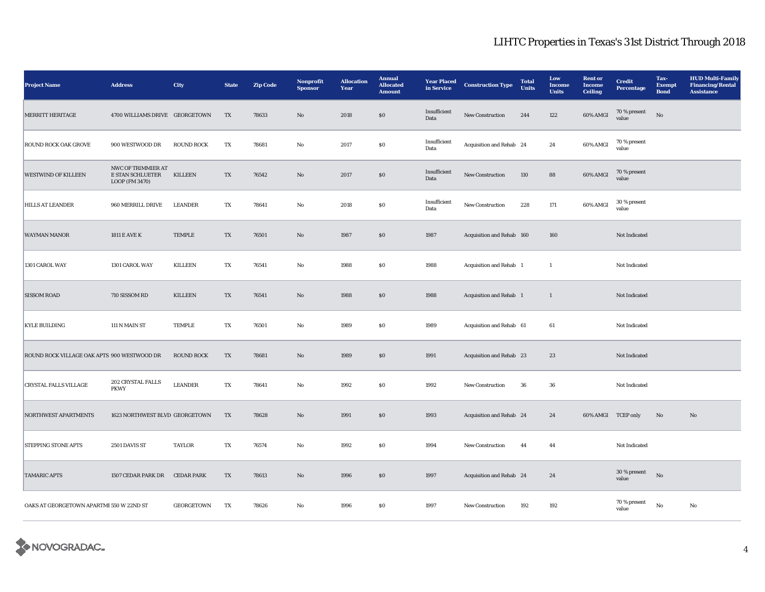| <b>Project Name</b>                         | <b>Address</b>                                           | City              | <b>State</b> | <b>Zip Code</b> | Nonprofit<br><b>Sponsor</b> | <b>Allocation</b><br>Year | <b>Annual</b><br><b>Allocated</b><br><b>Amount</b> | <b>Year Placed</b><br>in Service | <b>Construction Type</b>  | <b>Total</b><br><b>Units</b> | Low<br><b>Income</b><br><b>Units</b> | <b>Rent or</b><br><b>Income</b><br><b>Ceiling</b> | <b>Credit</b><br><b>Percentage</b> | Tax-<br><b>Exempt</b><br><b>Bond</b> | <b>HUD Multi-Family</b><br><b>Financing/Rental</b><br><b>Assistance</b> |
|---------------------------------------------|----------------------------------------------------------|-------------------|--------------|-----------------|-----------------------------|---------------------------|----------------------------------------------------|----------------------------------|---------------------------|------------------------------|--------------------------------------|---------------------------------------------------|------------------------------------|--------------------------------------|-------------------------------------------------------------------------|
| <b>MERRITT HERITAGE</b>                     | 4700 WILLIAMS DRIVE GEORGETOWN                           |                   | TX           | 78633           | No                          | 2018                      | $\$0$                                              | Insufficient<br>Data             | New Construction          | 244                          | 122                                  | 60% AMGI                                          | 70 % present<br>value              | $_{\rm No}$                          |                                                                         |
| <b>ROUND ROCK OAK GROVE</b>                 | 900 WESTWOOD DR                                          | <b>ROUND ROCK</b> | TX           | 78681           | $\rm No$                    | 2017                      | ${\bf S0}$                                         | Insufficient<br>Data             | Acquisition and Rehab 24  |                              | 24                                   | 60% AMGI                                          | 70 % present<br>value              |                                      |                                                                         |
| <b>WESTWIND OF KILLEEN</b>                  | NWC OF TRIMMIER AT<br>E STAN SCHLUETER<br>LOOP (FM 3470) | <b>KILLEEN</b>    | TX           | 76542           | $\rm No$                    | 2017                      | $\$0$                                              | Insufficient<br>Data             | New Construction          | 110                          | 88                                   | 60% AMGI                                          | 70 % present<br>value              |                                      |                                                                         |
| <b>HILLS AT LEANDER</b>                     | 960 MERRILL DRIVE                                        | <b>LEANDER</b>    | TX           | 78641           | No                          | 2018                      | $\$0$                                              | Insufficient<br>Data             | <b>New Construction</b>   | 228                          | 171                                  | 60% AMGI                                          | 30 % present<br>value              |                                      |                                                                         |
| <b>WAYMAN MANOR</b>                         | <b>1811 E AVE K</b>                                      | <b>TEMPLE</b>     | TX           | 76501           | No                          | 1987                      | \$0                                                | 1987                             | Acquisition and Rehab 160 |                              | 160                                  |                                                   | Not Indicated                      |                                      |                                                                         |
| 1301 CAROL WAY                              | 1301 CAROL WAY                                           | <b>KILLEEN</b>    | TX           | 76541           | $\rm No$                    | 1988                      | $\$0$                                              | 1988                             | Acquisition and Rehab 1   |                              | $\mathbf{1}$                         |                                                   | Not Indicated                      |                                      |                                                                         |
| <b>SISSOM ROAD</b>                          | 710 SISSOM RD                                            | <b>KILLEEN</b>    | TX           | 76541           | No                          | 1988                      | $\$0$                                              | 1988                             | Acquisition and Rehab 1   |                              | $\mathbf{1}$                         |                                                   | Not Indicated                      |                                      |                                                                         |
| <b>KYLE BUILDING</b>                        | 111 N MAIN ST                                            | TEMPLE            | TX           | 76501           | No                          | 1989                      | $\$0$                                              | 1989                             | Acquisition and Rehab 61  |                              | 61                                   |                                                   | Not Indicated                      |                                      |                                                                         |
| ROUND ROCK VILLAGE OAK APTS 900 WESTWOOD DR |                                                          | <b>ROUND ROCK</b> | TX           | 78681           | No                          | 1989                      | \$0                                                | 1991                             | Acquisition and Rehab 23  |                              | 23                                   |                                                   | Not Indicated                      |                                      |                                                                         |
| <b>CRYSTAL FALLS VILLAGE</b>                | 202 CRYSTAL FALLS<br><b>PKWY</b>                         | <b>LEANDER</b>    | ${\rm TX}$   | 78641           | No                          | 1992                      | $\$0$                                              | 1992                             | New Construction          | 36                           | ${\bf 36}$                           |                                                   | Not Indicated                      |                                      |                                                                         |
| <b>NORTHWEST APARTMENTS</b>                 | 1623 NORTHWEST BLVD GEORGETOWN                           |                   | TX           | 78628           | No                          | 1991                      | \$0                                                | 1993                             | Acquisition and Rehab 24  |                              | 24                                   | 60% AMGI TCEP only                                |                                    | No                                   | No                                                                      |
| <b>STEPPING STONE APTS</b>                  | 2501 DAVIS ST                                            | <b>TAYLOR</b>     | TX           | 76574           | No                          | 1992                      | \$0                                                | 1994                             | <b>New Construction</b>   | 44                           | 44                                   |                                                   | Not Indicated                      |                                      |                                                                         |
| <b>TAMARIC APTS</b>                         | 1507 CEDAR PARK DR                                       | <b>CEDAR PARK</b> | TX           | 78613           | $\rm No$                    | 1996                      | $\$0$                                              | 1997                             | Acquisition and Rehab 24  |                              | 24                                   |                                                   | $30$ % present<br>value            | $\rm No$                             |                                                                         |
| OAKS AT GEORGETOWN APARTME 550 W 22ND ST    |                                                          | GEORGETOWN        | TX           | 78626           | No                          | 1996                      | $\$0$                                              | 1997                             | New Construction          | 192                          | 192                                  |                                                   | $70\,\%$ present<br>value          | $\mathbf{No}$                        | $_{\rm No}$                                                             |